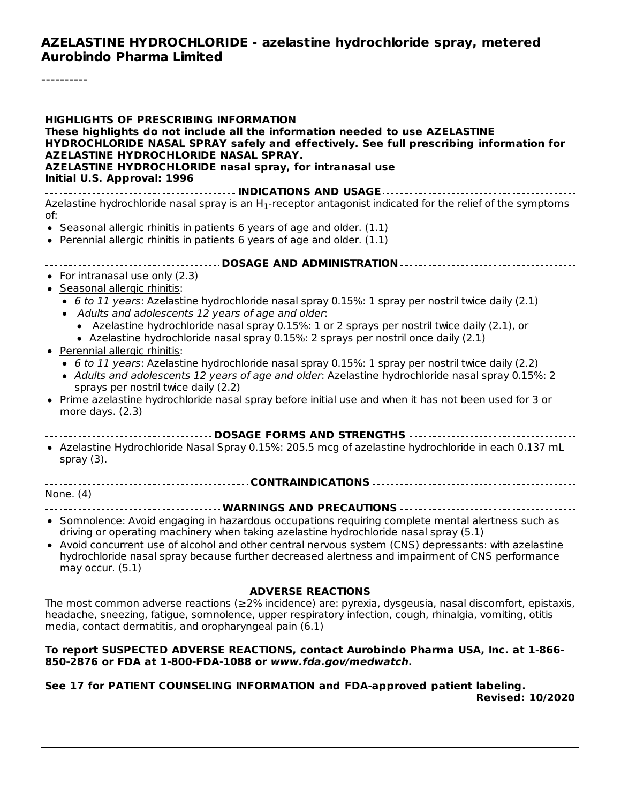### **AZELASTINE HYDROCHLORIDE - azelastine hydrochloride spray, metered Aurobindo Pharma Limited**

----------

| <b>HIGHLIGHTS OF PRESCRIBING INFORMATION</b><br>These highlights do not include all the information needed to use AZELASTINE<br>HYDROCHLORIDE NASAL SPRAY safely and effectively. See full prescribing information for<br>AZELASTINE HYDROCHLORIDE NASAL SPRAY.<br>AZELASTINE HYDROCHLORIDE nasal spray, for intranasal use |
|-----------------------------------------------------------------------------------------------------------------------------------------------------------------------------------------------------------------------------------------------------------------------------------------------------------------------------|
| Initial U.S. Approval: 1996                                                                                                                                                                                                                                                                                                 |
| Azelastine hydrochloride nasal spray is an H <sub>1</sub> -receptor antagonist indicated for the relief of the symptoms<br>of:<br>• Seasonal allergic rhinitis in patients 6 years of age and older. (1.1)                                                                                                                  |
| • Perennial allergic rhinitis in patients 6 years of age and older. $(1.1)$                                                                                                                                                                                                                                                 |
|                                                                                                                                                                                                                                                                                                                             |
| • For intranasal use only $(2.3)$                                                                                                                                                                                                                                                                                           |
| • Seasonal allergic rhinitis:<br>• 6 to 11 years: Azelastine hydrochloride nasal spray 0.15%: 1 spray per nostril twice daily (2.1)<br>• Adults and adolescents 12 years of age and older:                                                                                                                                  |
| • Azelastine hydrochloride nasal spray 0.15%: 1 or 2 sprays per nostril twice daily (2.1), or<br>• Azelastine hydrochloride nasal spray 0.15%: 2 sprays per nostril once daily (2.1)<br>• Perennial allergic rhinitis:                                                                                                      |
| • 6 to 11 years: Azelastine hydrochloride nasal spray 0.15%: 1 spray per nostril twice daily (2.2)<br>• Adults and adolescents 12 years of age and older: Azelastine hydrochloride nasal spray 0.15%: 2<br>sprays per nostril twice daily (2.2)                                                                             |
| • Prime azelastine hydrochloride nasal spray before initial use and when it has not been used for 3 or<br>more days. (2.3)                                                                                                                                                                                                  |
| ----------------------------------DOSAGE FORMS AND STRENGTHS                                                                                                                                                                                                                                                                |
| • Azelastine Hydrochloride Nasal Spray 0.15%: 205.5 mcg of azelastine hydrochloride in each 0.137 mL<br>spray $(3)$ .                                                                                                                                                                                                       |
|                                                                                                                                                                                                                                                                                                                             |
| None. (4)                                                                                                                                                                                                                                                                                                                   |
|                                                                                                                                                                                                                                                                                                                             |
| • Somnolence: Avoid engaging in hazardous occupations requiring complete mental alertness such as<br>driving or operating machinery when taking azelastine hydrochloride nasal spray (5.1)                                                                                                                                  |
| • Avoid concurrent use of alcohol and other central nervous system (CNS) depressants: with azelastine<br>hydrochloride nasal spray because further decreased alertness and impairment of CNS performance<br>may occur. $(5.1)$                                                                                              |
|                                                                                                                                                                                                                                                                                                                             |
| The most common adverse reactions ( $\geq$ 2% incidence) are: pyrexia, dysgeusia, nasal discomfort, epistaxis,<br>headache, sneezing, fatigue, somnolence, upper respiratory infection, cough, rhinalgia, vomiting, otitis<br>media, contact dermatitis, and oropharyngeal pain (6.1)                                       |
| To report SUSPECTED ADVERSE REACTIONS, contact Aurobindo Pharma USA, Inc. at 1-866-<br>850-2876 or FDA at 1-800-FDA-1088 or www.fda.gov/medwatch.                                                                                                                                                                           |

#### **See 17 for PATIENT COUNSELING INFORMATION and FDA-approved patient labeling. Revised: 10/2020**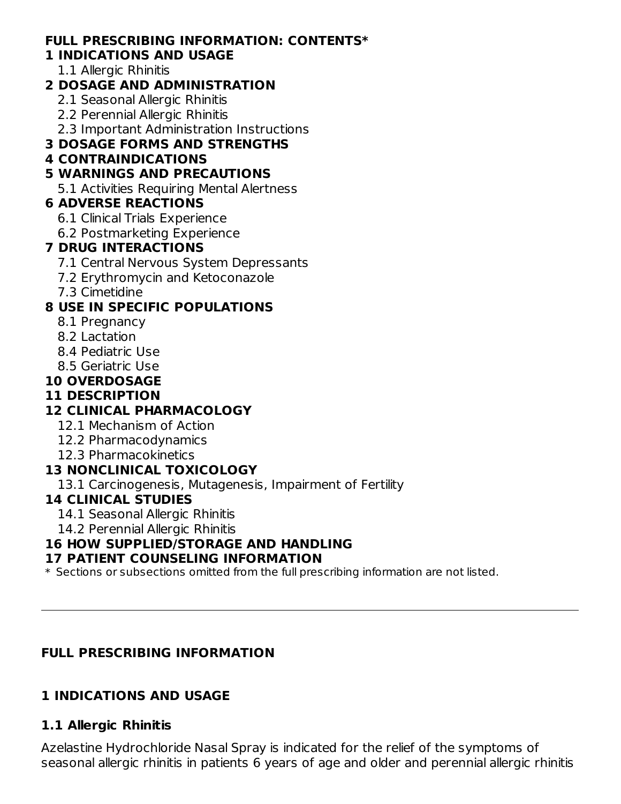## **FULL PRESCRIBING INFORMATION: CONTENTS\***

#### **1 INDICATIONS AND USAGE**

1.1 Allergic Rhinitis

### **2 DOSAGE AND ADMINISTRATION**

- 2.1 Seasonal Allergic Rhinitis
- 2.2 Perennial Allergic Rhinitis
- 2.3 Important Administration Instructions

## **3 DOSAGE FORMS AND STRENGTHS**

### **4 CONTRAINDICATIONS**

## **5 WARNINGS AND PRECAUTIONS**

5.1 Activities Requiring Mental Alertness

## **6 ADVERSE REACTIONS**

- 6.1 Clinical Trials Experience
- 6.2 Postmarketing Experience

## **7 DRUG INTERACTIONS**

- 7.1 Central Nervous System Depressants
- 7.2 Erythromycin and Ketoconazole
- 7.3 Cimetidine

## **8 USE IN SPECIFIC POPULATIONS**

- 8.1 Pregnancy
- 8.2 Lactation
- 8.4 Pediatric Use
- 8.5 Geriatric Use

## **10 OVERDOSAGE**

## **11 DESCRIPTION**

## **12 CLINICAL PHARMACOLOGY**

- 12.1 Mechanism of Action
- 12.2 Pharmacodynamics
- 12.3 Pharmacokinetics

## **13 NONCLINICAL TOXICOLOGY**

13.1 Carcinogenesis, Mutagenesis, Impairment of Fertility

### **14 CLINICAL STUDIES**

- 14.1 Seasonal Allergic Rhinitis
- 14.2 Perennial Allergic Rhinitis

## **16 HOW SUPPLIED/STORAGE AND HANDLING**

### **17 PATIENT COUNSELING INFORMATION**

 $\ast$  Sections or subsections omitted from the full prescribing information are not listed.

### **FULL PRESCRIBING INFORMATION**

## **1 INDICATIONS AND USAGE**

## **1.1 Allergic Rhinitis**

Azelastine Hydrochloride Nasal Spray is indicated for the relief of the symptoms of seasonal allergic rhinitis in patients 6 years of age and older and perennial allergic rhinitis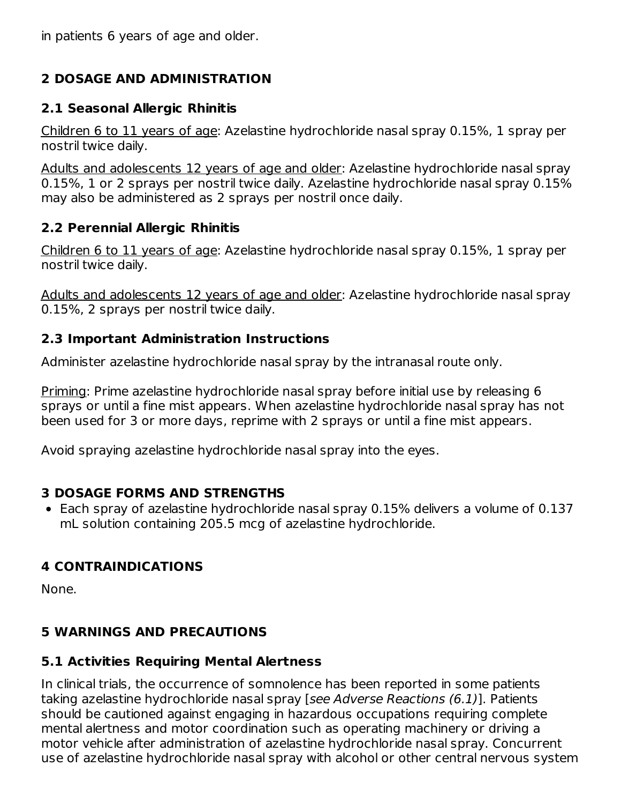in patients 6 years of age and older.

## **2 DOSAGE AND ADMINISTRATION**

## **2.1 Seasonal Allergic Rhinitis**

Children 6 to 11 years of age: Azelastine hydrochloride nasal spray 0.15%, 1 spray per nostril twice daily.

Adults and adolescents 12 years of age and older: Azelastine hydrochloride nasal spray 0.15%, 1 or 2 sprays per nostril twice daily. Azelastine hydrochloride nasal spray 0.15% may also be administered as 2 sprays per nostril once daily.

## **2.2 Perennial Allergic Rhinitis**

Children 6 to 11 years of age: Azelastine hydrochloride nasal spray 0.15%, 1 spray per nostril twice daily.

Adults and adolescents 12 years of age and older: Azelastine hydrochloride nasal spray 0.15%, 2 sprays per nostril twice daily.

## **2.3 Important Administration Instructions**

Administer azelastine hydrochloride nasal spray by the intranasal route only.

Priming: Prime azelastine hydrochloride nasal spray before initial use by releasing 6 sprays or until a fine mist appears. When azelastine hydrochloride nasal spray has not been used for 3 or more days, reprime with 2 sprays or until a fine mist appears.

Avoid spraying azelastine hydrochloride nasal spray into the eyes.

## **3 DOSAGE FORMS AND STRENGTHS**

Each spray of azelastine hydrochloride nasal spray 0.15% delivers a volume of 0.137 mL solution containing 205.5 mcg of azelastine hydrochloride.

# **4 CONTRAINDICATIONS**

None.

# **5 WARNINGS AND PRECAUTIONS**

## **5.1 Activities Requiring Mental Alertness**

In clinical trials, the occurrence of somnolence has been reported in some patients taking azelastine hydrochloride nasal spray [see Adverse Reactions (6.1)]. Patients should be cautioned against engaging in hazardous occupations requiring complete mental alertness and motor coordination such as operating machinery or driving a motor vehicle after administration of azelastine hydrochloride nasal spray. Concurrent use of azelastine hydrochloride nasal spray with alcohol or other central nervous system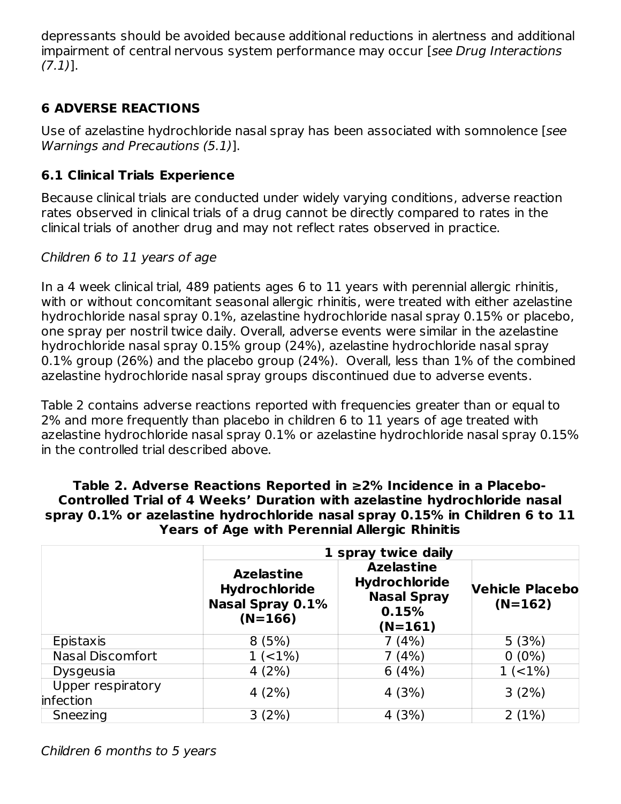depressants should be avoided because additional reductions in alertness and additional impairment of central nervous system performance may occur [see Drug Interactions  $(7.1)$ ].

## **6 ADVERSE REACTIONS**

Use of azelastine hydrochloride nasal spray has been associated with somnolence [see Warnings and Precautions (5.1)].

### **6.1 Clinical Trials Experience**

Because clinical trials are conducted under widely varying conditions, adverse reaction rates observed in clinical trials of a drug cannot be directly compared to rates in the clinical trials of another drug and may not reflect rates observed in practice.

### Children 6 to 11 years of age

In a 4 week clinical trial, 489 patients ages 6 to 11 years with perennial allergic rhinitis, with or without concomitant seasonal allergic rhinitis, were treated with either azelastine hydrochloride nasal spray 0.1%, azelastine hydrochloride nasal spray 0.15% or placebo, one spray per nostril twice daily. Overall, adverse events were similar in the azelastine hydrochloride nasal spray 0.15% group (24%), azelastine hydrochloride nasal spray 0.1% group (26%) and the placebo group (24%). Overall, less than 1% of the combined azelastine hydrochloride nasal spray groups discontinued due to adverse events.

Table 2 contains adverse reactions reported with frequencies greater than or equal to 2% and more frequently than placebo in children 6 to 11 years of age treated with azelastine hydrochloride nasal spray 0.1% or azelastine hydrochloride nasal spray 0.15% in the controlled trial described above.

#### **Table 2. Adverse Reactions Reported in ≥2% Incidence in a Placebo-Controlled Trial of 4 Weeks' Duration with azelastine hydrochloride nasal spray 0.1% or azelastine hydrochloride nasal spray 0.15% in Children 6 to 11 Years of Age with Perennial Allergic Rhinitis**

|                                | 1 spray twice daily                                                               |                                                                                       |                                     |  |  |  |
|--------------------------------|-----------------------------------------------------------------------------------|---------------------------------------------------------------------------------------|-------------------------------------|--|--|--|
|                                | <b>Azelastine</b><br><b>Hydrochloride</b><br><b>Nasal Spray 0.1%</b><br>$(N=166)$ | <b>Azelastine</b><br><b>Hydrochloride</b><br><b>Nasal Spray</b><br>0.15%<br>$(N=161)$ | <b>Vehicle Placebo</b><br>$(N=162)$ |  |  |  |
| Epistaxis                      | 8(5%)                                                                             | 7 (4%)                                                                                | 5(3%)                               |  |  |  |
| <b>Nasal Discomfort</b>        | $1( <1\%)$                                                                        | 7 (4%)                                                                                | $0(0\%)$                            |  |  |  |
| <b>Dysgeusia</b>               | 4(2%)                                                                             | 6(4%)                                                                                 | 1(21%)                              |  |  |  |
| Upper respiratory<br>infection | 4(2%)                                                                             | 4(3%)                                                                                 | 3(2%)                               |  |  |  |
| Sneezing                       | 3(2%)                                                                             | 4(3%)                                                                                 | 2(1%)                               |  |  |  |

Children 6 months to 5 years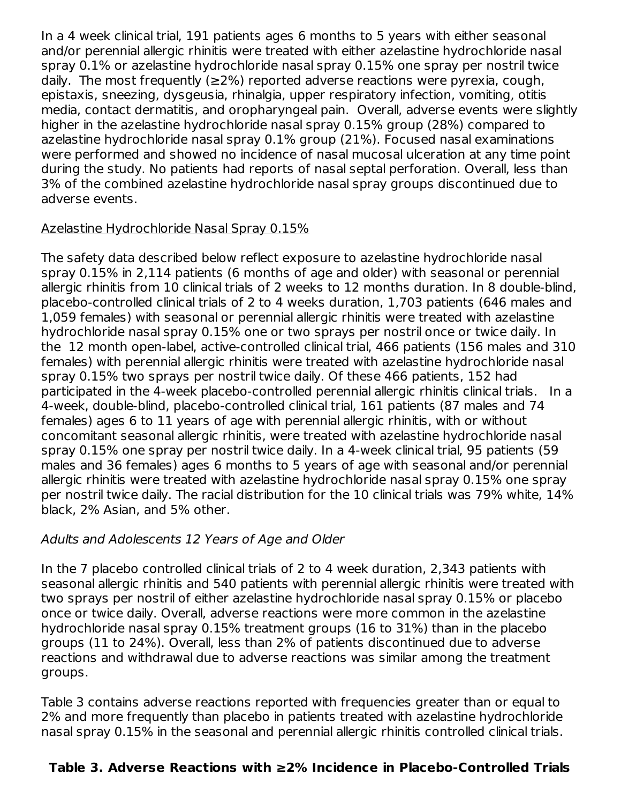In a 4 week clinical trial, 191 patients ages 6 months to 5 years with either seasonal and/or perennial allergic rhinitis were treated with either azelastine hydrochloride nasal spray 0.1% or azelastine hydrochloride nasal spray 0.15% one spray per nostril twice daily. The most frequently (≥2%) reported adverse reactions were pyrexia, cough, epistaxis, sneezing, dysgeusia, rhinalgia, upper respiratory infection, vomiting, otitis media, contact dermatitis, and oropharyngeal pain. Overall, adverse events were slightly higher in the azelastine hydrochloride nasal spray 0.15% group (28%) compared to azelastine hydrochloride nasal spray 0.1% group (21%). Focused nasal examinations were performed and showed no incidence of nasal mucosal ulceration at any time point during the study. No patients had reports of nasal septal perforation. Overall, less than 3% of the combined azelastine hydrochloride nasal spray groups discontinued due to adverse events.

### Azelastine Hydrochloride Nasal Spray 0.15%

The safety data described below reflect exposure to azelastine hydrochloride nasal spray 0.15% in 2,114 patients (6 months of age and older) with seasonal or perennial allergic rhinitis from 10 clinical trials of 2 weeks to 12 months duration. In 8 double-blind, placebo-controlled clinical trials of 2 to 4 weeks duration, 1,703 patients (646 males and 1,059 females) with seasonal or perennial allergic rhinitis were treated with azelastine hydrochloride nasal spray 0.15% one or two sprays per nostril once or twice daily. In the 12 month open-label, active-controlled clinical trial, 466 patients (156 males and 310 females) with perennial allergic rhinitis were treated with azelastine hydrochloride nasal spray 0.15% two sprays per nostril twice daily. Of these 466 patients, 152 had participated in the 4-week placebo-controlled perennial allergic rhinitis clinical trials. In a 4-week, double-blind, placebo-controlled clinical trial, 161 patients (87 males and 74 females) ages 6 to 11 years of age with perennial allergic rhinitis, with or without concomitant seasonal allergic rhinitis, were treated with azelastine hydrochloride nasal spray 0.15% one spray per nostril twice daily. In a 4-week clinical trial, 95 patients (59 males and 36 females) ages 6 months to 5 years of age with seasonal and/or perennial allergic rhinitis were treated with azelastine hydrochloride nasal spray 0.15% one spray per nostril twice daily. The racial distribution for the 10 clinical trials was 79% white, 14% black, 2% Asian, and 5% other.

### Adults and Adolescents 12 Years of Age and Older

In the 7 placebo controlled clinical trials of 2 to 4 week duration, 2,343 patients with seasonal allergic rhinitis and 540 patients with perennial allergic rhinitis were treated with two sprays per nostril of either azelastine hydrochloride nasal spray 0.15% or placebo once or twice daily. Overall, adverse reactions were more common in the azelastine hydrochloride nasal spray 0.15% treatment groups (16 to 31%) than in the placebo groups (11 to 24%). Overall, less than 2% of patients discontinued due to adverse reactions and withdrawal due to adverse reactions was similar among the treatment groups.

Table 3 contains adverse reactions reported with frequencies greater than or equal to 2% and more frequently than placebo in patients treated with azelastine hydrochloride nasal spray 0.15% in the seasonal and perennial allergic rhinitis controlled clinical trials.

## **Table 3. Adverse Reactions with ≥2% Incidence in Placebo-Controlled Trials**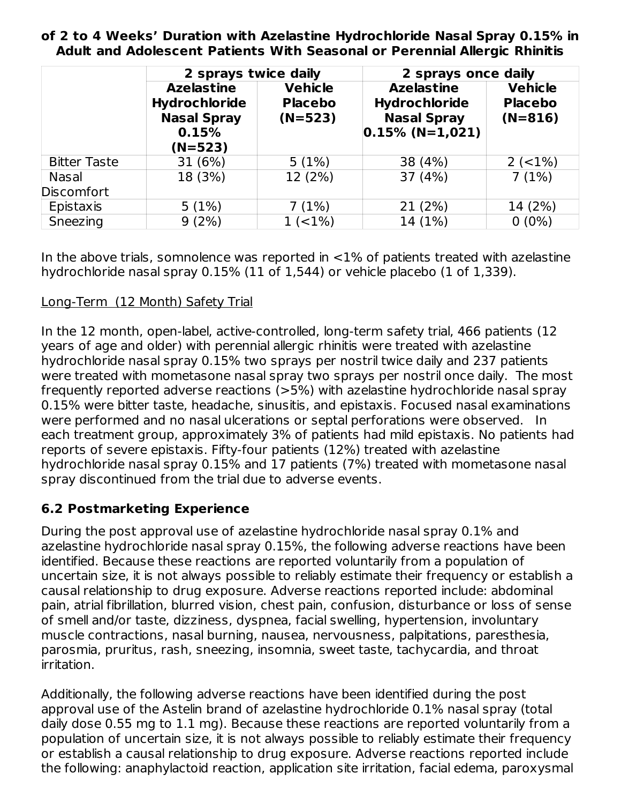**of 2 to 4 Weeks' Duration with Azelastine Hydrochloride Nasal Spray 0.15% in Adult and Adolescent Patients With Seasonal or Perennial Allergic Rhinitis**

|                                   | 2 sprays twice daily                                                                  |                                               | 2 sprays once daily                                                                     |                                               |  |  |
|-----------------------------------|---------------------------------------------------------------------------------------|-----------------------------------------------|-----------------------------------------------------------------------------------------|-----------------------------------------------|--|--|
|                                   | <b>Azelastine</b><br><b>Hydrochloride</b><br><b>Nasal Spray</b><br>0.15%<br>$(N=523)$ | <b>Vehicle</b><br><b>Placebo</b><br>$(N=523)$ | <b>Azelastine</b><br><b>Hydrochloride</b><br><b>Nasal Spray</b><br>$ 0.15\% $ (N=1,021) | <b>Vehicle</b><br><b>Placebo</b><br>$(N=816)$ |  |  |
| <b>Bitter Taste</b>               | 31(6%)                                                                                | 5(1%)                                         | 38 (4%)                                                                                 | $2 (-1%)$                                     |  |  |
| <b>Nasal</b><br><b>Discomfort</b> | 18 (3%)                                                                               | 12 (2%)                                       | 37 (4%)                                                                                 | 7(1%)                                         |  |  |
| Epistaxis                         | 5(1%)                                                                                 | 7(1%)                                         | 21(2%)                                                                                  | 14 (2%)                                       |  |  |
| Sneezing                          | 9(2%)                                                                                 | $1 (-1%)$                                     | 14 (1%)                                                                                 | $0(0\%)$                                      |  |  |

In the above trials, somnolence was reported in  $<$ 1% of patients treated with azelastine hydrochloride nasal spray 0.15% (11 of 1,544) or vehicle placebo (1 of 1,339).

### Long-Term (12 Month) Safety Trial

In the 12 month, open-label, active-controlled, long-term safety trial, 466 patients (12 years of age and older) with perennial allergic rhinitis were treated with azelastine hydrochloride nasal spray 0.15% two sprays per nostril twice daily and 237 patients were treated with mometasone nasal spray two sprays per nostril once daily. The most frequently reported adverse reactions (>5%) with azelastine hydrochloride nasal spray 0.15% were bitter taste, headache, sinusitis, and epistaxis. Focused nasal examinations were performed and no nasal ulcerations or septal perforations were observed. In each treatment group, approximately 3% of patients had mild epistaxis. No patients had reports of severe epistaxis. Fifty-four patients (12%) treated with azelastine hydrochloride nasal spray 0.15% and 17 patients (7%) treated with mometasone nasal spray discontinued from the trial due to adverse events.

## **6.2 Postmarketing Experience**

During the post approval use of azelastine hydrochloride nasal spray 0.1% and azelastine hydrochloride nasal spray 0.15%, the following adverse reactions have been identified. Because these reactions are reported voluntarily from a population of uncertain size, it is not always possible to reliably estimate their frequency or establish a causal relationship to drug exposure. Adverse reactions reported include: abdominal pain, atrial fibrillation, blurred vision, chest pain, confusion, disturbance or loss of sense of smell and/or taste, dizziness, dyspnea, facial swelling, hypertension, involuntary muscle contractions, nasal burning, nausea, nervousness, palpitations, paresthesia, parosmia, pruritus, rash, sneezing, insomnia, sweet taste, tachycardia, and throat irritation.

Additionally, the following adverse reactions have been identified during the post approval use of the Astelin brand of azelastine hydrochloride 0.1% nasal spray (total daily dose 0.55 mg to 1.1 mg). Because these reactions are reported voluntarily from a population of uncertain size, it is not always possible to reliably estimate their frequency or establish a causal relationship to drug exposure. Adverse reactions reported include the following: anaphylactoid reaction, application site irritation, facial edema, paroxysmal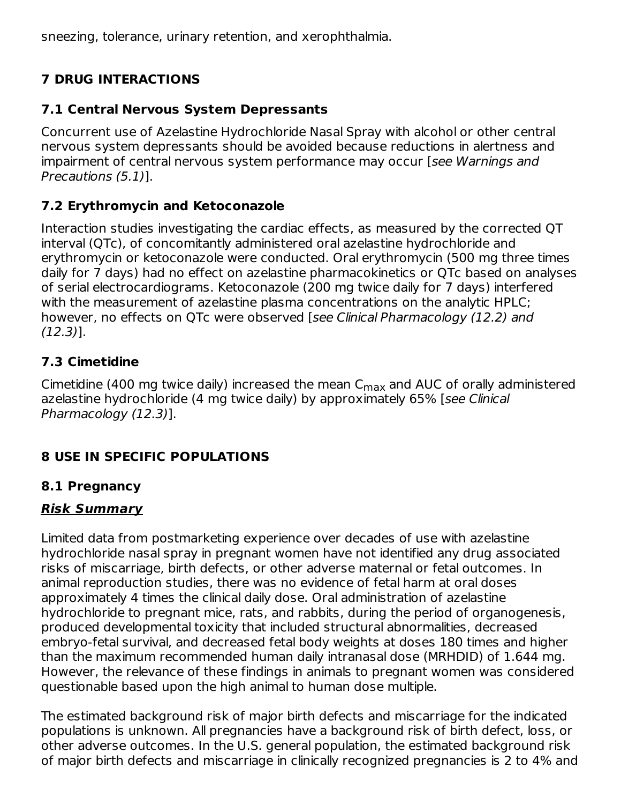sneezing, tolerance, urinary retention, and xerophthalmia.

# **7 DRUG INTERACTIONS**

## **7.1 Central Nervous System Depressants**

Concurrent use of Azelastine Hydrochloride Nasal Spray with alcohol or other central nervous system depressants should be avoided because reductions in alertness and impairment of central nervous system performance may occur [see Warnings and Precautions (5.1)].

## **7.2 Erythromycin and Ketoconazole**

Interaction studies investigating the cardiac effects, as measured by the corrected QT interval (QTc), of concomitantly administered oral azelastine hydrochloride and erythromycin or ketoconazole were conducted. Oral erythromycin (500 mg three times daily for 7 days) had no effect on azelastine pharmacokinetics or QTc based on analyses of serial electrocardiograms. Ketoconazole (200 mg twice daily for 7 days) interfered with the measurement of azelastine plasma concentrations on the analytic HPLC; however, no effects on QTc were observed [see Clinical Pharmacology (12.2) and (12.3)].

## **7.3 Cimetidine**

Cimetidine (400 mg twice daily) increased the mean  $\mathsf{C}_{\mathsf{max}}$  and AUC of orally administered azelastine hydrochloride (4 mg twice daily) by approximately 65% [see Clinical Pharmacology (12.3)].

## **8 USE IN SPECIFIC POPULATIONS**

## **8.1 Pregnancy**

## **Risk Summary**

Limited data from postmarketing experience over decades of use with azelastine hydrochloride nasal spray in pregnant women have not identified any drug associated risks of miscarriage, birth defects, or other adverse maternal or fetal outcomes. In animal reproduction studies, there was no evidence of fetal harm at oral doses approximately 4 times the clinical daily dose. Oral administration of azelastine hydrochloride to pregnant mice, rats, and rabbits, during the period of organogenesis, produced developmental toxicity that included structural abnormalities, decreased embryo-fetal survival, and decreased fetal body weights at doses 180 times and higher than the maximum recommended human daily intranasal dose (MRHDID) of 1.644 mg. However, the relevance of these findings in animals to pregnant women was considered questionable based upon the high animal to human dose multiple.

The estimated background risk of major birth defects and miscarriage for the indicated populations is unknown. All pregnancies have a background risk of birth defect, loss, or other adverse outcomes. In the U.S. general population, the estimated background risk of major birth defects and miscarriage in clinically recognized pregnancies is 2 to 4% and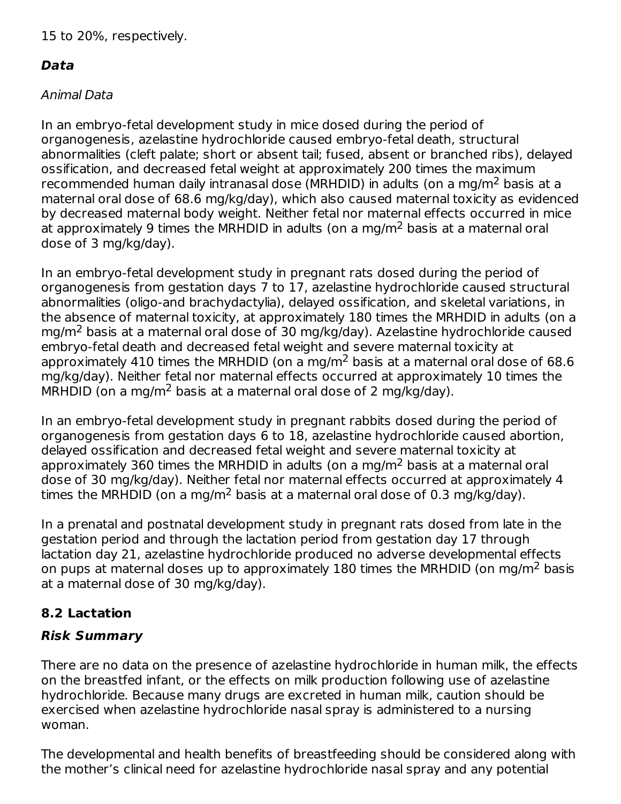## **Data**

## Animal Data

In an embryo-fetal development study in mice dosed during the period of organogenesis, azelastine hydrochloride caused embryo-fetal death, structural abnormalities (cleft palate; short or absent tail; fused, absent or branched ribs), delayed ossification, and decreased fetal weight at approximately 200 times the maximum recommended human daily intranasal dose (MRHDID) in adults (on a mg/m<sup>2</sup> basis at a maternal oral dose of 68.6 mg/kg/day), which also caused maternal toxicity as evidenced by decreased maternal body weight. Neither fetal nor maternal effects occurred in mice at approximately 9 times the MRHDID in adults (on a mg/m<sup>2</sup> basis at a maternal oral dose of 3 mg/kg/day).

In an embryo-fetal development study in pregnant rats dosed during the period of organogenesis from gestation days 7 to 17, azelastine hydrochloride caused structural abnormalities (oligo-and brachydactylia), delayed ossification, and skeletal variations, in the absence of maternal toxicity, at approximately 180 times the MRHDID in adults (on a mg/m<sup>2</sup> basis at a maternal oral dose of 30 mg/kg/day). Azelastine hydrochloride caused embryo-fetal death and decreased fetal weight and severe maternal toxicity at approximately 410 times the MRHDID (on a mg/m<sup>2</sup> basis at a maternal oral dose of 68.6 mg/kg/day). Neither fetal nor maternal effects occurred at approximately 10 times the  $MRHDID$  (on a mg/m<sup>2</sup> basis at a maternal oral dose of 2 mg/kg/day).

In an embryo-fetal development study in pregnant rabbits dosed during the period of organogenesis from gestation days 6 to 18, azelastine hydrochloride caused abortion, delayed ossification and decreased fetal weight and severe maternal toxicity at approximately 360 times the MRHDID in adults (on a mg/m<sup>2</sup> basis at a maternal oral dose of 30 mg/kg/day). Neither fetal nor maternal effects occurred at approximately 4 times the MRHDID (on a mg/m<sup>2</sup> basis at a maternal oral dose of 0.3 mg/kg/day).

In a prenatal and postnatal development study in pregnant rats dosed from late in the gestation period and through the lactation period from gestation day 17 through lactation day 21, azelastine hydrochloride produced no adverse developmental effects on pups at maternal doses up to approximately 180 times the MRHDID (on mg/m<sup>2</sup> basis at a maternal dose of 30 mg/kg/day).

# **8.2 Lactation**

# **Risk Summary**

There are no data on the presence of azelastine hydrochloride in human milk, the effects on the breastfed infant, or the effects on milk production following use of azelastine hydrochloride. Because many drugs are excreted in human milk, caution should be exercised when azelastine hydrochloride nasal spray is administered to a nursing woman.

The developmental and health benefits of breastfeeding should be considered along with the mother's clinical need for azelastine hydrochloride nasal spray and any potential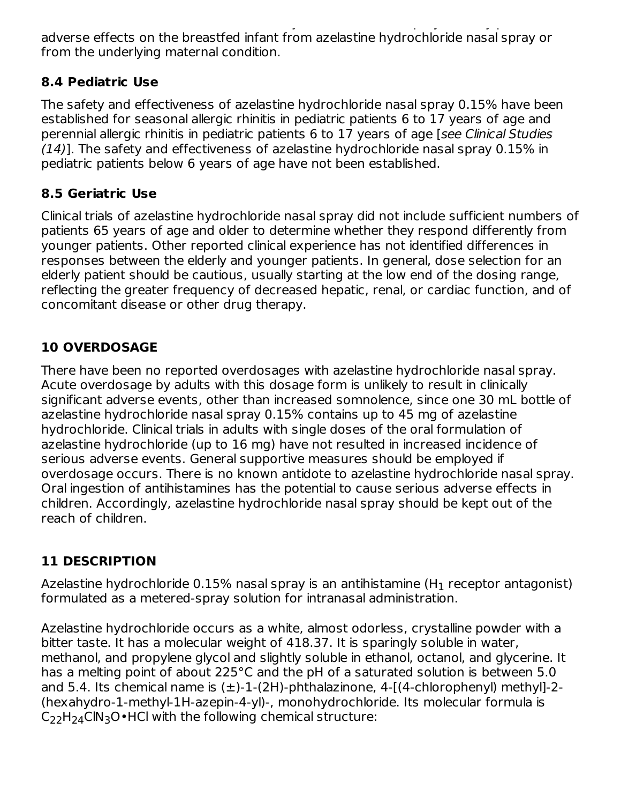the mother's clinical need for azelastine hydrochloride nasal spray and any potential adverse effects on the breastfed infant from azelastine hydrochloride nasal spray or from the underlying maternal condition.

## **8.4 Pediatric Use**

The safety and effectiveness of azelastine hydrochloride nasal spray 0.15% have been established for seasonal allergic rhinitis in pediatric patients 6 to 17 years of age and perennial allergic rhinitis in pediatric patients 6 to 17 years of age [see Clinical Studies  $(14)$ ]. The safety and effectiveness of azelastine hydrochloride nasal spray 0.15% in pediatric patients below 6 years of age have not been established.

## **8.5 Geriatric Use**

Clinical trials of azelastine hydrochloride nasal spray did not include sufficient numbers of patients 65 years of age and older to determine whether they respond differently from younger patients. Other reported clinical experience has not identified differences in responses between the elderly and younger patients. In general, dose selection for an elderly patient should be cautious, usually starting at the low end of the dosing range, reflecting the greater frequency of decreased hepatic, renal, or cardiac function, and of concomitant disease or other drug therapy.

## **10 OVERDOSAGE**

There have been no reported overdosages with azelastine hydrochloride nasal spray. Acute overdosage by adults with this dosage form is unlikely to result in clinically significant adverse events, other than increased somnolence, since one 30 mL bottle of azelastine hydrochloride nasal spray 0.15% contains up to 45 mg of azelastine hydrochloride. Clinical trials in adults with single doses of the oral formulation of azelastine hydrochloride (up to 16 mg) have not resulted in increased incidence of serious adverse events. General supportive measures should be employed if overdosage occurs. There is no known antidote to azelastine hydrochloride nasal spray. Oral ingestion of antihistamines has the potential to cause serious adverse effects in children. Accordingly, azelastine hydrochloride nasal spray should be kept out of the reach of children.

## **11 DESCRIPTION**

Azelastine hydrochloride 0.15% nasal spray is an antihistamine (H $_{\rm 1}$  receptor antagonist) formulated as a metered-spray solution for intranasal administration.

Azelastine hydrochloride occurs as a white, almost odorless, crystalline powder with a bitter taste. It has a molecular weight of 418.37. It is sparingly soluble in water, methanol, and propylene glycol and slightly soluble in ethanol, octanol, and glycerine. It has a melting point of about 225°C and the pH of a saturated solution is between 5.0 and 5.4. Its chemical name is  $(\pm)$ -1-(2H)-phthalazinone, 4-[(4-chlorophenyl) methyl]-2-(hexahydro-1-methyl-1H-azepin-4-yl)-, monohydrochloride. Its molecular formula is  $C_{22}H_{24}CIN_{3}O\cdot HCl$  with the following chemical structure: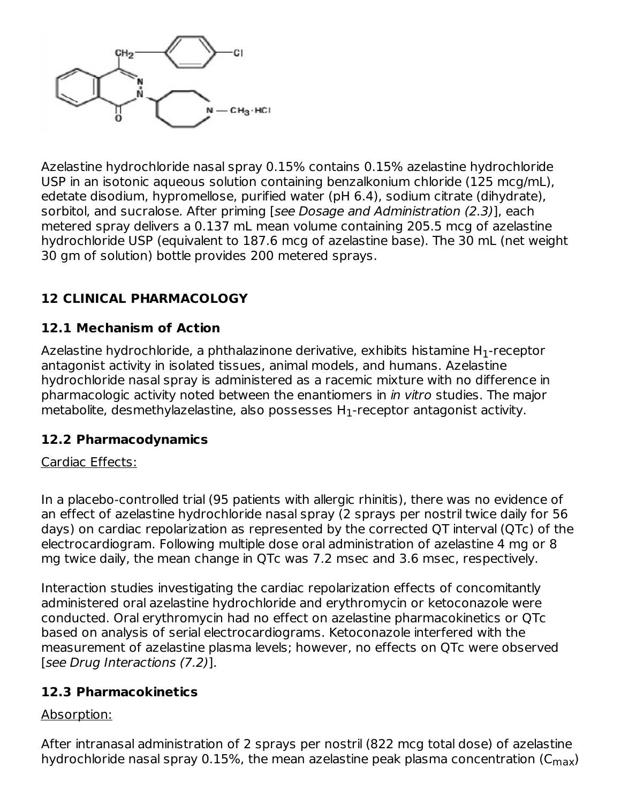

Azelastine hydrochloride nasal spray 0.15% contains 0.15% azelastine hydrochloride USP in an isotonic aqueous solution containing benzalkonium chloride (125 mcg/mL), edetate disodium, hypromellose, purified water (pH 6.4), sodium citrate (dihydrate), sorbitol, and sucralose. After priming [see Dosage and Administration (2.3)], each metered spray delivers a 0.137 mL mean volume containing 205.5 mcg of azelastine hydrochloride USP (equivalent to 187.6 mcg of azelastine base). The 30 mL (net weight 30 gm of solution) bottle provides 200 metered sprays.

## **12 CLINICAL PHARMACOLOGY**

## **12.1 Mechanism of Action**

Azelastine hydrochloride, a phthalazinone derivative, exhibits histamine H $_{\rm 1}$ -receptor antagonist activity in isolated tissues, animal models, and humans. Azelastine hydrochloride nasal spray is administered as a racemic mixture with no difference in pharmacologic activity noted between the enantiomers in in vitro studies. The major metabolite, desmethylazelastine, also possesses  ${\sf H}_1$ -receptor antagonist activity.

### **12.2 Pharmacodynamics**

### Cardiac Effects:

In a placebo-controlled trial (95 patients with allergic rhinitis), there was no evidence of an effect of azelastine hydrochloride nasal spray (2 sprays per nostril twice daily for 56 days) on cardiac repolarization as represented by the corrected QT interval (QTc) of the electrocardiogram. Following multiple dose oral administration of azelastine 4 mg or 8 mg twice daily, the mean change in QTc was 7.2 msec and 3.6 msec, respectively.

Interaction studies investigating the cardiac repolarization effects of concomitantly administered oral azelastine hydrochloride and erythromycin or ketoconazole were conducted. Oral erythromycin had no effect on azelastine pharmacokinetics or QTc based on analysis of serial electrocardiograms. Ketoconazole interfered with the measurement of azelastine plasma levels; however, no effects on QTc were observed [see Drug Interactions (7.2)].

### **12.3 Pharmacokinetics**

### Absorption:

After intranasal administration of 2 sprays per nostril (822 mcg total dose) of azelastine hydrochloride nasal spray 0.15%, the mean azelastine peak plasma concentration (C $_{\sf max}$ )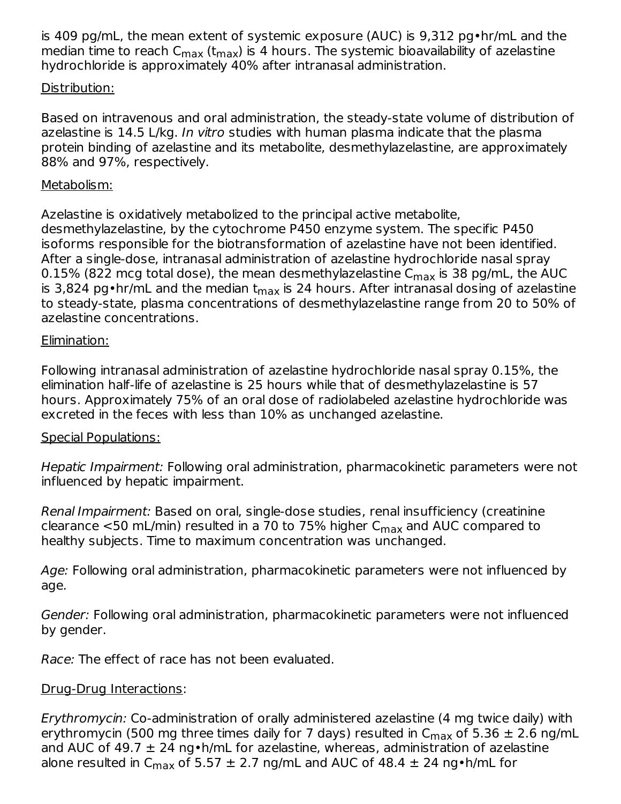is 409 pg/mL, the mean extent of systemic exposure (AUC) is 9,312 pg•hr/mL and the median time to reach C $_{\sf max}$  (t $_{\sf max}$ ) is 4 hours. The systemic bioavailability of azelastine hydrochloride is approximately 40% after intranasal administration.

#### Distribution:

Based on intravenous and oral administration, the steady-state volume of distribution of azelastine is 14.5 L/kg. In vitro studies with human plasma indicate that the plasma protein binding of azelastine and its metabolite, desmethylazelastine, are approximately 88% and 97%, respectively.

#### Metabolism:

Azelastine is oxidatively metabolized to the principal active metabolite, desmethylazelastine, by the cytochrome P450 enzyme system. The specific P450 isoforms responsible for the biotransformation of azelastine have not been identified. After a single-dose, intranasal administration of azelastine hydrochloride nasal spray 0.15% (822 mcg total dose), the mean desmethylazelastine C $_{\sf max}$  is 38 pg/mL, the AUC is 3,824 pg•hr/mL and the median t<sub>max</sub> is 24 hours. After intranasal dosing of azelastine to steady-state, plasma concentrations of desmethylazelastine range from 20 to 50% of azelastine concentrations.

#### Elimination:

Following intranasal administration of azelastine hydrochloride nasal spray 0.15%, the elimination half-life of azelastine is 25 hours while that of desmethylazelastine is 57 hours. Approximately 75% of an oral dose of radiolabeled azelastine hydrochloride was excreted in the feces with less than 10% as unchanged azelastine.

### Special Populations:

Hepatic Impairment: Following oral administration, pharmacokinetic parameters were not influenced by hepatic impairment.

Renal Impairment: Based on oral, single-dose studies, renal insufficiency (creatinine clearance  $<$ 50 mL/min) resulted in a 70 to 75% higher  $\mathsf{C}_{\mathsf{max}}$  and AUC compared to healthy subjects. Time to maximum concentration was unchanged.

Age: Following oral administration, pharmacokinetic parameters were not influenced by age.

Gender: Following oral administration, pharmacokinetic parameters were not influenced by gender.

Race: The effect of race has not been evaluated.

### Drug-Drug Interactions:

Erythromycin: Co-administration of orally administered azelastine (4 mg twice daily) with erythromycin (500 mg three times daily for 7 days) resulted in  $\mathsf{C}_{\mathsf{max}}$  of 5.36  $\pm$  2.6 ng/mL and AUC of 49.7  $\pm$  24 ng•h/mL for azelastine, whereas, administration of azelastine alone resulted in C<sub>max</sub> of 5.57  $\pm$  2.7 ng/mL and AUC of 48.4  $\pm$  24 ng•h/mL for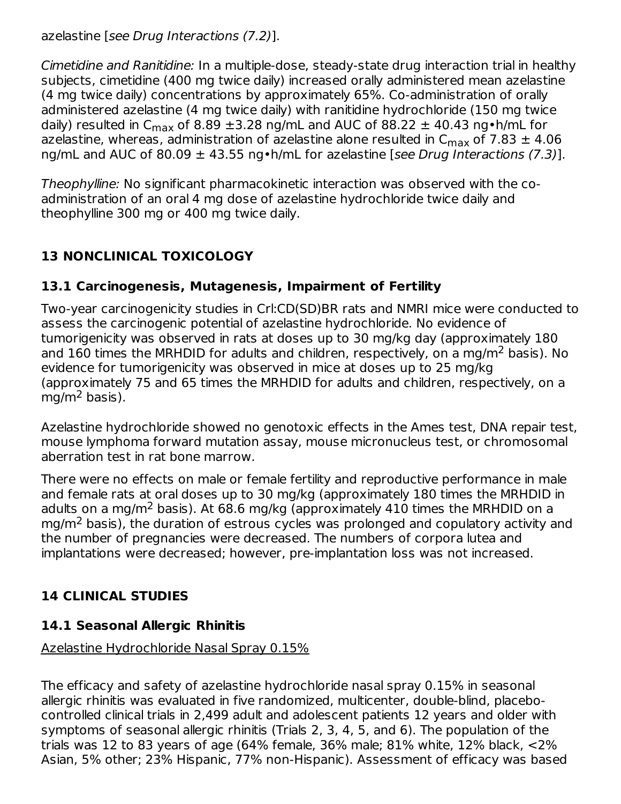azelastine [see Drug Interactions (7.2)].

Cimetidine and Ranitidine: In a multiple-dose, steady-state drug interaction trial in healthy subjects, cimetidine (400 mg twice daily) increased orally administered mean azelastine (4 mg twice daily) concentrations by approximately 65%. Co-administration of orally administered azelastine (4 mg twice daily) with ranitidine hydrochloride (150 mg twice daily) resulted in C<sub>max</sub> of 8.89  $\pm$ 3.28 ng/mL and AUC of 88.22  $\pm$  40.43 ng•h/mL for azelastine, whereas, administration of azelastine alone resulted in  $\mathsf{C}_{\mathsf{max}}$  of 7.83  $\pm$  4.06 ng/mL and AUC of 80.09  $\pm$  43.55 ng•h/mL for azelastine [see Drug Interactions (7.3)].

Theophylline: No significant pharmacokinetic interaction was observed with the coadministration of an oral 4 mg dose of azelastine hydrochloride twice daily and theophylline 300 mg or 400 mg twice daily.

## **13 NONCLINICAL TOXICOLOGY**

## **13.1 Carcinogenesis, Mutagenesis, Impairment of Fertility**

Two-year carcinogenicity studies in Crl:CD(SD)BR rats and NMRI mice were conducted to assess the carcinogenic potential of azelastine hydrochloride. No evidence of tumorigenicity was observed in rats at doses up to 30 mg/kg day (approximately 180 and 160 times the MRHDID for adults and children, respectively, on a mg/m<sup>2</sup> basis). No evidence for tumorigenicity was observed in mice at doses up to 25 mg/kg (approximately 75 and 65 times the MRHDID for adults and children, respectively, on a mg/m<sup>2</sup> basis).

Azelastine hydrochloride showed no genotoxic effects in the Ames test, DNA repair test, mouse lymphoma forward mutation assay, mouse micronucleus test, or chromosomal aberration test in rat bone marrow.

There were no effects on male or female fertility and reproductive performance in male and female rats at oral doses up to 30 mg/kg (approximately 180 times the MRHDID in adults on a mg/m<sup>2</sup> basis). At 68.6 mg/kg (approximately 410 times the MRHDID on a  $mg/m<sup>2</sup>$  basis), the duration of estrous cycles was prolonged and copulatory activity and the number of pregnancies were decreased. The numbers of corpora lutea and implantations were decreased; however, pre-implantation loss was not increased.

# **14 CLINICAL STUDIES**

## **14.1 Seasonal Allergic Rhinitis**

## Azelastine Hydrochloride Nasal Spray 0.15%

The efficacy and safety of azelastine hydrochloride nasal spray 0.15% in seasonal allergic rhinitis was evaluated in five randomized, multicenter, double-blind, placebocontrolled clinical trials in 2,499 adult and adolescent patients 12 years and older with symptoms of seasonal allergic rhinitis (Trials 2, 3, 4, 5, and 6). The population of the trials was 12 to 83 years of age (64% female, 36% male; 81% white, 12% black, <2% Asian, 5% other; 23% Hispanic, 77% non-Hispanic). Assessment of efficacy was based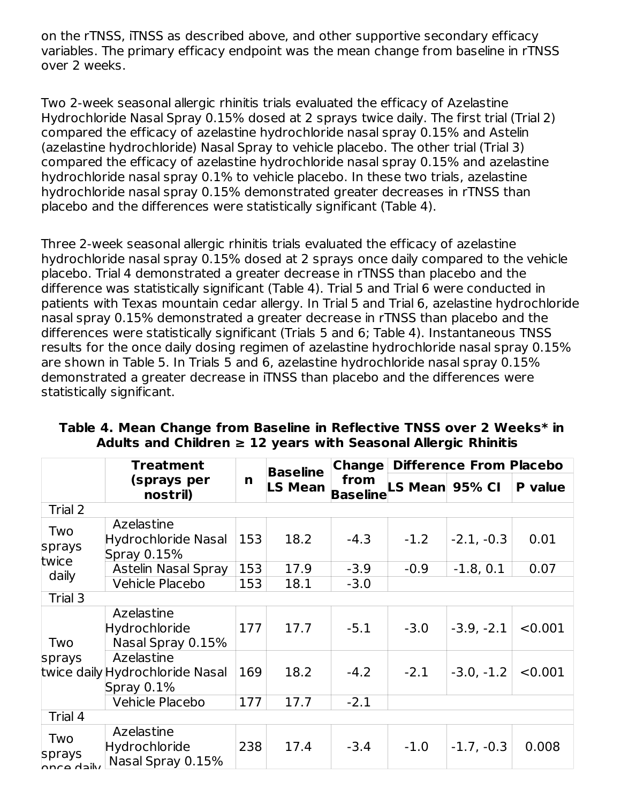on the rTNSS, iTNSS as described above, and other supportive secondary efficacy variables. The primary efficacy endpoint was the mean change from baseline in rTNSS over 2 weeks.

Two 2-week seasonal allergic rhinitis trials evaluated the efficacy of Azelastine Hydrochloride Nasal Spray 0.15% dosed at 2 sprays twice daily. The first trial (Trial 2) compared the efficacy of azelastine hydrochloride nasal spray 0.15% and Astelin (azelastine hydrochloride) Nasal Spray to vehicle placebo. The other trial (Trial 3) compared the efficacy of azelastine hydrochloride nasal spray 0.15% and azelastine hydrochloride nasal spray 0.1% to vehicle placebo. In these two trials, azelastine hydrochloride nasal spray 0.15% demonstrated greater decreases in rTNSS than placebo and the differences were statistically significant (Table 4).

Three 2-week seasonal allergic rhinitis trials evaluated the efficacy of azelastine hydrochloride nasal spray 0.15% dosed at 2 sprays once daily compared to the vehicle placebo. Trial 4 demonstrated a greater decrease in rTNSS than placebo and the difference was statistically significant (Table 4). Trial 5 and Trial 6 were conducted in patients with Texas mountain cedar allergy. In Trial 5 and Trial 6, azelastine hydrochloride nasal spray 0.15% demonstrated a greater decrease in rTNSS than placebo and the differences were statistically significant (Trials 5 and 6; Table 4). Instantaneous TNSS results for the once daily dosing regimen of azelastine hydrochloride nasal spray 0.15% are shown in Table 5. In Trials 5 and 6, azelastine hydrochloride nasal spray 0.15% demonstrated a greater decrease in iTNSS than placebo and the differences were statistically significant.

|                             | Treatment                                                   |     | <b>Baseline</b> | <b>Change</b>           | <b>Difference From Placebo</b> |              |         |  |  |
|-----------------------------|-------------------------------------------------------------|-----|-----------------|-------------------------|--------------------------------|--------------|---------|--|--|
|                             | (sprays per<br>nostril)                                     | n   | <b>LS Mean</b>  | from<br><b>Baseline</b> | LS Mean 95% CI                 |              | P value |  |  |
| Trial 2                     |                                                             |     |                 |                         |                                |              |         |  |  |
| Two<br>sprays<br>twice      | Azelastine<br><b>Hydrochloride Nasal</b><br>Spray 0.15%     | 153 | 18.2            | $-4.3$                  | $-1.2$                         | $-2.1, -0.3$ | 0.01    |  |  |
| daily                       | <b>Astelin Nasal Spray</b>                                  | 153 | 17.9            | $-3.9$                  | $-0.9$                         | $-1.8, 0.1$  | 0.07    |  |  |
|                             | Vehicle Placebo                                             | 153 | 18.1            | $-3.0$                  |                                |              |         |  |  |
| Trial 3                     |                                                             |     |                 |                         |                                |              |         |  |  |
| Two                         | Azelastine<br>Hydrochloride<br>Nasal Spray 0.15%            | 177 | 17.7            | $-5.1$                  | $-3.0$                         | $-3.9, -2.1$ | < 0.001 |  |  |
| sprays                      | Azelastine<br>twice daily Hydrochloride Nasal<br>Spray 0.1% | 169 | 18.2            | $-4.2$                  | $-2.1$                         | $-3.0, -1.2$ | < 0.001 |  |  |
|                             | Vehicle Placebo                                             | 177 | 17.7            | $-2.1$                  |                                |              |         |  |  |
| Trial 4                     |                                                             |     |                 |                         |                                |              |         |  |  |
| Two<br>sprays<br>nnca dailw | Azelastine<br>Hydrochloride<br>Nasal Spray 0.15%            | 238 | 17.4            | $-3.4$                  | $-1.0$                         | $-1.7, -0.3$ | 0.008   |  |  |

### **Table 4. Mean Change from Baseline in Reflective TNSS over 2 Weeks\* in Adults and Children ≥ 12 years with Seasonal Allergic Rhinitis**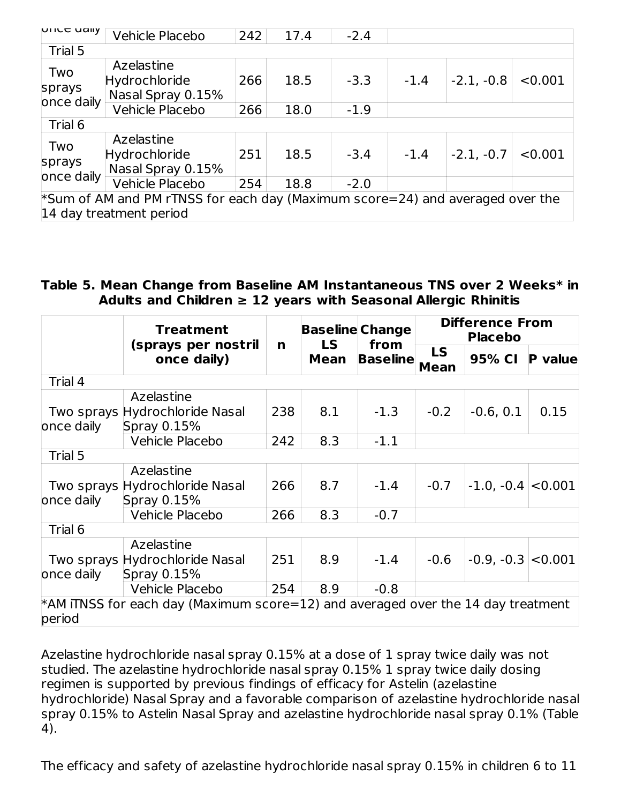| <b>NIICE UAIIY</b>                                                            | Vehicle Placebo                                  | 242 | 17.4 | $-2.4$ |        |              |         |
|-------------------------------------------------------------------------------|--------------------------------------------------|-----|------|--------|--------|--------------|---------|
| Trial 5                                                                       |                                                  |     |      |        |        |              |         |
| Two                                                                           | Azelastine                                       |     |      |        |        |              |         |
|                                                                               | Hydrochloride                                    | 266 | 18.5 | $-3.3$ | $-1.4$ | $-2.1, -0.8$ | < 0.001 |
| sprays                                                                        | Nasal Spray 0.15%                                |     |      |        |        |              |         |
| once daily                                                                    | Vehicle Placebo                                  | 266 | 18.0 | $-1.9$ |        |              |         |
| Trial 6                                                                       |                                                  |     |      |        |        |              |         |
| Two<br>sprays<br>once daily                                                   | Azelastine<br>Hydrochloride<br>Nasal Spray 0.15% | 251 | 18.5 | $-3.4$ | $-1.4$ | $-2.1, -0.7$ | < 0.001 |
|                                                                               | Vehicle Placebo                                  | 254 | 18.8 | $-2.0$ |        |              |         |
| *Sum of AM and PM rTNSS for each day (Maximum score=24) and averaged over the |                                                  |     |      |        |        |              |         |
| 14 day treatment period                                                       |                                                  |     |      |        |        |              |         |

#### **Table 5. Mean Change from Baseline AM Instantaneous TNS over 2 Weeks\* in Adults and Children ≥ 12 years with Seasonal Allergic Rhinitis**

|                                                                           | <b>Treatment</b>                                                                    |     | <b>LS</b>   | <b>Baseline Change</b><br>from | <b>Difference From</b><br><b>Placebo</b> |              |                |  |
|---------------------------------------------------------------------------|-------------------------------------------------------------------------------------|-----|-------------|--------------------------------|------------------------------------------|--------------|----------------|--|
|                                                                           | (sprays per nostril<br>once daily)                                                  | n   | <b>Mean</b> | <b>Baseline</b>                | <b>LS</b><br><b>Mean</b>                 | 95% CI       | <b>P</b> value |  |
| Trial 4                                                                   |                                                                                     |     |             |                                |                                          |              |                |  |
| Azelastine<br>Two sprays Hydrochloride Nasal<br>once daily<br>Spray 0.15% |                                                                                     | 238 | 8.1         | $-1.3$                         | $-0.2$                                   | $-0.6, 0.1$  | 0.15           |  |
|                                                                           | <b>Vehicle Placebo</b>                                                              | 242 | 8.3         | $-1.1$                         |                                          |              |                |  |
| Trial 5                                                                   |                                                                                     |     |             |                                |                                          |              |                |  |
| once daily                                                                | Azelastine<br>Two sprays Hydrochloride Nasal<br>Spray 0.15%                         | 266 | 8.7         | $-1.4$                         | $-0.7$                                   | $-1.0, -0.4$ | < 0.001        |  |
|                                                                           | <b>Vehicle Placebo</b>                                                              | 266 | 8.3         | $-0.7$                         |                                          |              |                |  |
| Trial 6                                                                   |                                                                                     |     |             |                                |                                          |              |                |  |
| once daily                                                                | Azelastine<br>Two sprays Hydrochloride Nasal<br>Spray 0.15%                         | 251 | 8.9         | $-1.4$                         | $-0.6$                                   | $-0.9, -0.3$ | < 0.001        |  |
|                                                                           | <b>Vehicle Placebo</b>                                                              | 254 | 8.9         | $-0.8$                         |                                          |              |                |  |
| period                                                                    | $*$ AM iTNSS for each day (Maximum score=12) and averaged over the 14 day treatment |     |             |                                |                                          |              |                |  |

Azelastine hydrochloride nasal spray 0.15% at a dose of 1 spray twice daily was not studied. The azelastine hydrochloride nasal spray 0.15% 1 spray twice daily dosing regimen is supported by previous findings of efficacy for Astelin (azelastine hydrochloride) Nasal Spray and a favorable comparison of azelastine hydrochloride nasal spray 0.15% to Astelin Nasal Spray and azelastine hydrochloride nasal spray 0.1% (Table 4).

The efficacy and safety of azelastine hydrochloride nasal spray 0.15% in children 6 to 11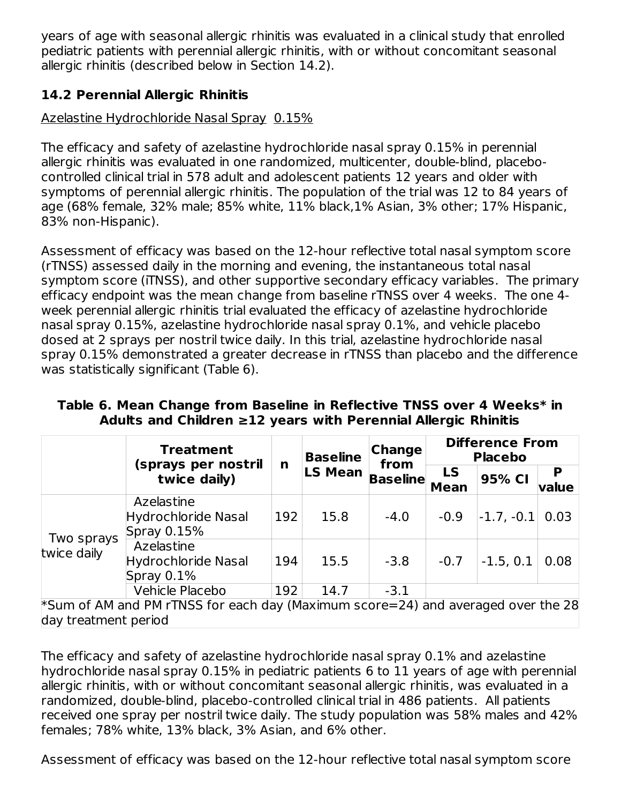years of age with seasonal allergic rhinitis was evaluated in a clinical study that enrolled pediatric patients with perennial allergic rhinitis, with or without concomitant seasonal allergic rhinitis (described below in Section 14.2).

## **14.2 Perennial Allergic Rhinitis**

## Azelastine Hydrochloride Nasal Spray 0.15%

The efficacy and safety of azelastine hydrochloride nasal spray 0.15% in perennial allergic rhinitis was evaluated in one randomized, multicenter, double-blind, placebocontrolled clinical trial in 578 adult and adolescent patients 12 years and older with symptoms of perennial allergic rhinitis. The population of the trial was 12 to 84 years of age (68% female, 32% male; 85% white, 11% black,1% Asian, 3% other; 17% Hispanic, 83% non-Hispanic).

Assessment of efficacy was based on the 12-hour reflective total nasal symptom score (rTNSS) assessed daily in the morning and evening, the instantaneous total nasal symptom score (iTNSS), and other supportive secondary efficacy variables. The primary efficacy endpoint was the mean change from baseline rTNSS over 4 weeks. The one 4 week perennial allergic rhinitis trial evaluated the efficacy of azelastine hydrochloride nasal spray 0.15%, azelastine hydrochloride nasal spray 0.1%, and vehicle placebo dosed at 2 sprays per nostril twice daily. In this trial, azelastine hydrochloride nasal spray 0.15% demonstrated a greater decrease in rTNSS than placebo and the difference was statistically significant (Table 6).

|                           | <b>Treatment</b>                                                                 | <b>Change</b><br><b>Baseline</b><br>from |                | <b>Difference From</b><br><b>Placebo</b> |                          |              |            |
|---------------------------|----------------------------------------------------------------------------------|------------------------------------------|----------------|------------------------------------------|--------------------------|--------------|------------|
|                           | (sprays per nostril<br>twice daily)                                              | n                                        | <b>LS Mean</b> | <b>Baseline</b>                          | <b>LS</b><br><b>Mean</b> | 95% CI       | P<br>value |
|                           | Azelastine<br><b>Hydrochloride Nasal</b><br>Spray 0.15%                          | 192                                      | 15.8           | $-4.0$                                   | $-0.9$                   | $-1.7, -0.1$ | 0.03       |
| Two sprays<br>twice daily | Azelastine<br><b>Hydrochloride Nasal</b><br>Spray 0.1%                           | 194                                      | 15.5           | $-3.8$                                   | $-0.7$                   | $-1.5, 0.1$  | 0.08       |
|                           | Vehicle Placebo                                                                  | 192                                      | 14.7           | $-3.1$                                   |                          |              |            |
| day treatment period      | *Sum of AM and PM rTNSS for each day (Maximum score=24) and averaged over the 28 |                                          |                |                                          |                          |              |            |

### **Table 6. Mean Change from Baseline in Reflective TNSS over 4 Weeks\* in Adults and Children ≥12 years with Perennial Allergic Rhinitis**

The efficacy and safety of azelastine hydrochloride nasal spray 0.1% and azelastine hydrochloride nasal spray 0.15% in pediatric patients 6 to 11 years of age with perennial allergic rhinitis, with or without concomitant seasonal allergic rhinitis, was evaluated in a randomized, double-blind, placebo-controlled clinical trial in 486 patients. All patients received one spray per nostril twice daily. The study population was 58% males and 42% females; 78% white, 13% black, 3% Asian, and 6% other.

Assessment of efficacy was based on the 12-hour reflective total nasal symptom score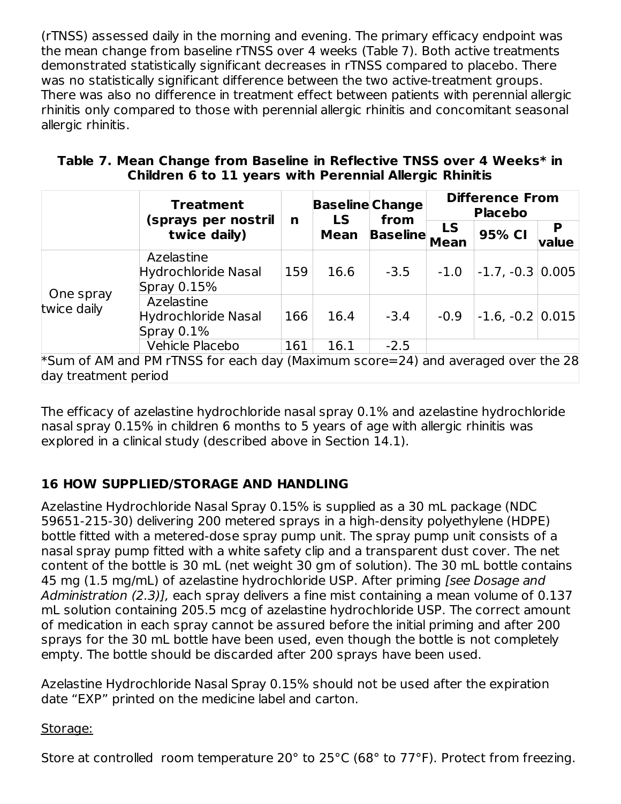(rTNSS) assessed daily in the morning and evening. The primary efficacy endpoint was the mean change from baseline rTNSS over 4 weeks (Table 7). Both active treatments demonstrated statistically significant decreases in rTNSS compared to placebo. There was no statistically significant difference between the two active-treatment groups. There was also no difference in treatment effect between patients with perennial allergic rhinitis only compared to those with perennial allergic rhinitis and concomitant seasonal allergic rhinitis.

| Table 7. Mean Change from Baseline in Reflective TNSS over 4 Weeks* in |                                                         |  |
|------------------------------------------------------------------------|---------------------------------------------------------|--|
|                                                                        | Children 6 to 11 years with Perennial Allergic Rhinitis |  |

|                          | <b>Treatment</b>                                                                 |     | <b>Baseline Change</b><br><b>LS</b> | from            | <b>Difference From</b><br><b>Placebo</b> |                      |            |  |
|--------------------------|----------------------------------------------------------------------------------|-----|-------------------------------------|-----------------|------------------------------------------|----------------------|------------|--|
|                          | (sprays per nostril<br>twice daily)                                              | n   | <b>Mean</b>                         | <b>Baseline</b> | <b>LS</b><br><b>Mean</b>                 | 95% CI               | P<br>value |  |
| One spray<br>twice daily | Azelastine<br><b>Hydrochloride Nasal</b><br>Spray 0.15%                          | 159 | 16.6                                | $-3.5$          | $-1.0$                                   | $-1.7, -0.3$         | 0.005      |  |
|                          | Azelastine<br><b>Hydrochloride Nasal</b><br>Spray 0.1%                           | 166 | 16.4                                | $-3.4$          | $-0.9$                                   | $-1.6, -0.2$   0.015 |            |  |
|                          | Vehicle Placebo                                                                  | 161 | 16.1                                | $-2.5$          |                                          |                      |            |  |
| day treatment period     | *Sum of AM and PM rTNSS for each day (Maximum score=24) and averaged over the 28 |     |                                     |                 |                                          |                      |            |  |

The efficacy of azelastine hydrochloride nasal spray 0.1% and azelastine hydrochloride nasal spray 0.15% in children 6 months to 5 years of age with allergic rhinitis was explored in a clinical study (described above in Section 14.1).

## **16 HOW SUPPLIED/STORAGE AND HANDLING**

Azelastine Hydrochloride Nasal Spray 0.15% is supplied as a 30 mL package (NDC 59651-215-30) delivering 200 metered sprays in a high-density polyethylene (HDPE) bottle fitted with a metered-dose spray pump unit. The spray pump unit consists of a nasal spray pump fitted with a white safety clip and a transparent dust cover. The net content of the bottle is 30 mL (net weight 30 gm of solution). The 30 mL bottle contains 45 mg (1.5 mg/mL) of azelastine hydrochloride USP. After priming [see Dosage and Administration (2.3)], each spray delivers a fine mist containing a mean volume of 0.137 mL solution containing 205.5 mcg of azelastine hydrochloride USP. The correct amount of medication in each spray cannot be assured before the initial priming and after 200 sprays for the 30 mL bottle have been used, even though the bottle is not completely empty. The bottle should be discarded after 200 sprays have been used.

Azelastine Hydrochloride Nasal Spray 0.15% should not be used after the expiration date "EXP" printed on the medicine label and carton.

### Storage:

Store at controlled room temperature 20° to 25°C (68° to 77°F). Protect from freezing.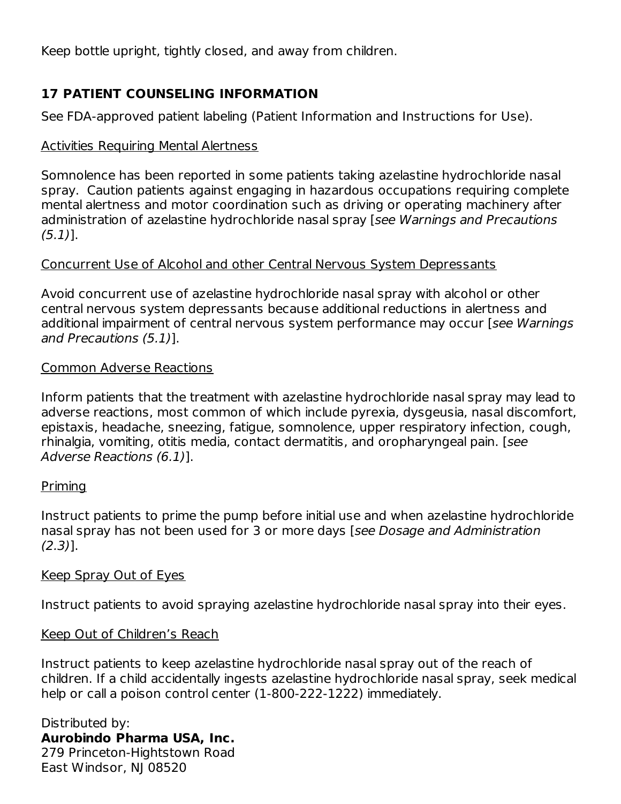Keep bottle upright, tightly closed, and away from children.

## **17 PATIENT COUNSELING INFORMATION**

See FDA-approved patient labeling (Patient Information and Instructions for Use).

## Activities Requiring Mental Alertness

Somnolence has been reported in some patients taking azelastine hydrochloride nasal spray. Caution patients against engaging in hazardous occupations requiring complete mental alertness and motor coordination such as driving or operating machinery after administration of azelastine hydrochloride nasal spray [see Warnings and Precautions  $(5.1)$ ].

## Concurrent Use of Alcohol and other Central Nervous System Depressants

Avoid concurrent use of azelastine hydrochloride nasal spray with alcohol or other central nervous system depressants because additional reductions in alertness and additional impairment of central nervous system performance may occur [see Warnings and Precautions (5.1)].

### Common Adverse Reactions

Inform patients that the treatment with azelastine hydrochloride nasal spray may lead to adverse reactions, most common of which include pyrexia, dysgeusia, nasal discomfort, epistaxis, headache, sneezing, fatigue, somnolence, upper respiratory infection, cough, rhinalgia, vomiting, otitis media, contact dermatitis, and oropharyngeal pain. [see Adverse Reactions (6.1)].

## **Priming**

Instruct patients to prime the pump before initial use and when azelastine hydrochloride nasal spray has not been used for 3 or more days [see Dosage and Administration (2.3)].

### Keep Spray Out of Eyes

Instruct patients to avoid spraying azelastine hydrochloride nasal spray into their eyes.

## Keep Out of Children's Reach

Instruct patients to keep azelastine hydrochloride nasal spray out of the reach of children. If a child accidentally ingests azelastine hydrochloride nasal spray, seek medical help or call a poison control center (1-800-222-1222) immediately.

Distributed by: **Aurobindo Pharma USA, Inc.** 279 Princeton-Hightstown Road East Windsor, NJ 08520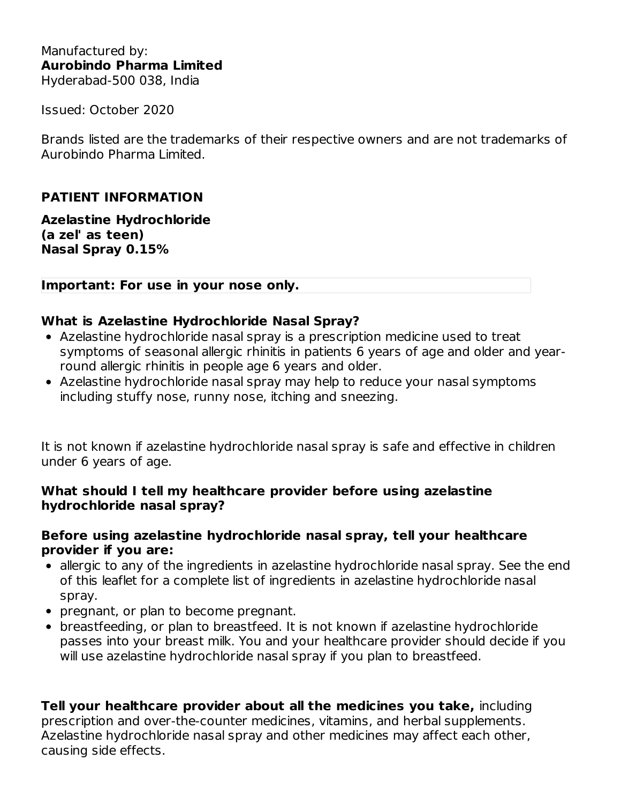Issued: October 2020

Brands listed are the trademarks of their respective owners and are not trademarks of Aurobindo Pharma Limited.

## **PATIENT INFORMATION**

**Azelastine Hydrochloride (a zel' as teen) Nasal Spray 0.15%**

#### **Important: For use in your nose only.**

#### **What is Azelastine Hydrochloride Nasal Spray?**

- Azelastine hydrochloride nasal spray is a prescription medicine used to treat symptoms of seasonal allergic rhinitis in patients 6 years of age and older and yearround allergic rhinitis in people age 6 years and older.
- Azelastine hydrochloride nasal spray may help to reduce your nasal symptoms including stuffy nose, runny nose, itching and sneezing.

It is not known if azelastine hydrochloride nasal spray is safe and effective in children under 6 years of age.

#### **What should I tell my healthcare provider before using azelastine hydrochloride nasal spray?**

#### **Before using azelastine hydrochloride nasal spray, tell your healthcare provider if you are:**

- allergic to any of the ingredients in azelastine hydrochloride nasal spray. See the end of this leaflet for a complete list of ingredients in azelastine hydrochloride nasal spray.
- pregnant, or plan to become pregnant.
- breastfeeding, or plan to breastfeed. It is not known if azelastine hydrochloride passes into your breast milk. You and your healthcare provider should decide if you will use azelastine hydrochloride nasal spray if you plan to breastfeed.

**Tell your healthcare provider about all the medicines you take,** including prescription and over-the-counter medicines, vitamins, and herbal supplements. Azelastine hydrochloride nasal spray and other medicines may affect each other, causing side effects.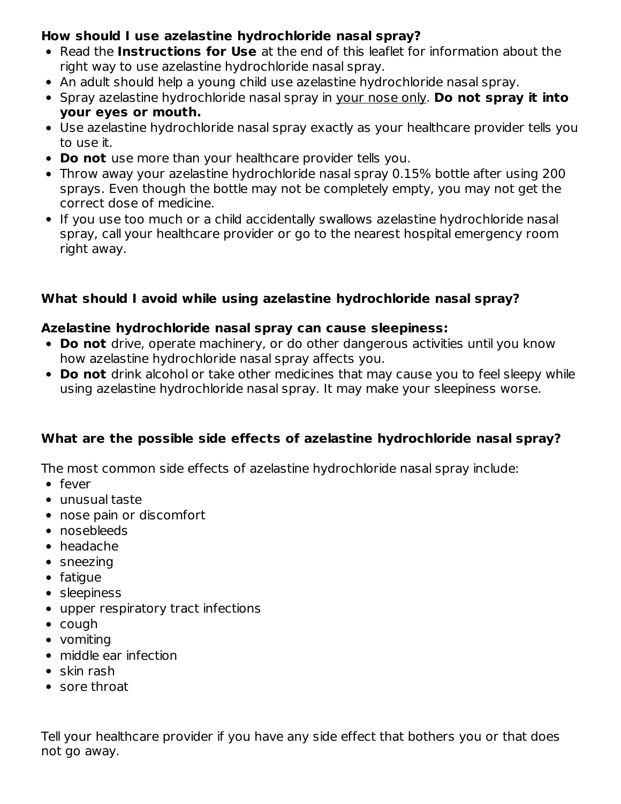## **How should I use azelastine hydrochloride nasal spray?**

- Read the **Instructions for Use** at the end of this leaflet for information about the right way to use azelastine hydrochloride nasal spray.
- An adult should help a young child use azelastine hydrochloride nasal spray.
- Spray azelastine hydrochloride nasal spray in your nose only. **Do not spray it into your eyes or mouth.**
- Use azelastine hydrochloride nasal spray exactly as your healthcare provider tells you to use it.
- **Do not** use more than your healthcare provider tells you.
- Throw away your azelastine hydrochloride nasal spray 0.15% bottle after using 200 sprays. Even though the bottle may not be completely empty, you may not get the correct dose of medicine.
- If you use too much or a child accidentally swallows azelastine hydrochloride nasal spray, call your healthcare provider or go to the nearest hospital emergency room right away.

## **What should I avoid while using azelastine hydrochloride nasal spray?**

### **Azelastine hydrochloride nasal spray can cause sleepiness:**

- **Do not** drive, operate machinery, or do other dangerous activities until you know how azelastine hydrochloride nasal spray affects you.
- **Do not** drink alcohol or take other medicines that may cause you to feel sleepy while using azelastine hydrochloride nasal spray. It may make your sleepiness worse.

## **What are the possible side effects of azelastine hydrochloride nasal spray?**

The most common side effects of azelastine hydrochloride nasal spray include:

- fever
- unusual taste
- nose pain or discomfort
- nosebleeds
- headache
- sneezing
- fatigue
- sleepiness
- upper respiratory tract infections
- cough
- vomiting
- middle ear infection
- $\bullet$  skin rash
- sore throat

Tell your healthcare provider if you have any side effect that bothers you or that does not go away.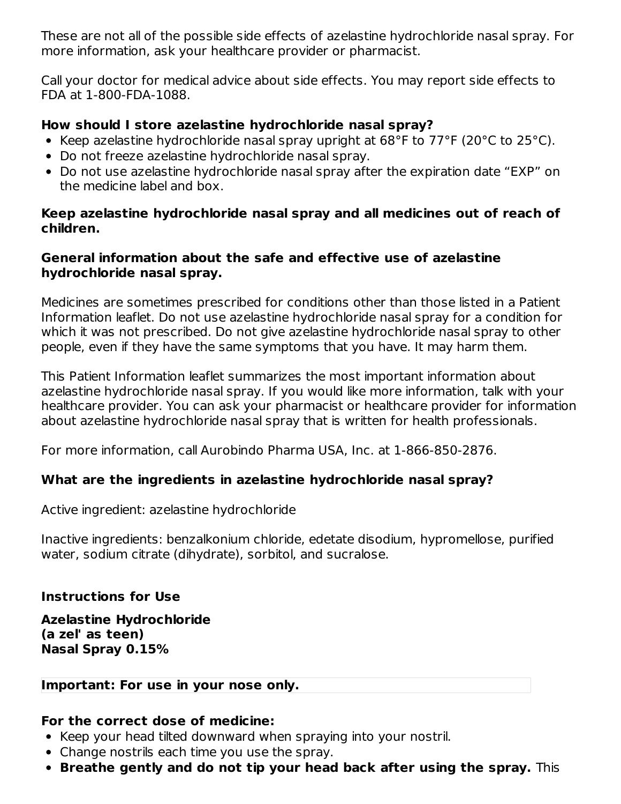These are not all of the possible side effects of azelastine hydrochloride nasal spray. For more information, ask your healthcare provider or pharmacist.

Call your doctor for medical advice about side effects. You may report side effects to FDA at 1-800-FDA-1088.

## **How should I store azelastine hydrochloride nasal spray?**

- Exeep azelastine hydrochloride nasal spray upright at  $68^{\circ}$ F to  $77^{\circ}$ F (20 $^{\circ}$ C to 25 $^{\circ}$ C).
- Do not freeze azelastine hydrochloride nasal spray.
- Do not use azelastine hydrochloride nasal spray after the expiration date "EXP" on the medicine label and box.

### **Keep azelastine hydrochloride nasal spray and all medicines out of reach of children.**

### **General information about the safe and effective use of azelastine hydrochloride nasal spray.**

Medicines are sometimes prescribed for conditions other than those listed in a Patient Information leaflet. Do not use azelastine hydrochloride nasal spray for a condition for which it was not prescribed. Do not give azelastine hydrochloride nasal spray to other people, even if they have the same symptoms that you have. It may harm them.

This Patient Information leaflet summarizes the most important information about azelastine hydrochloride nasal spray. If you would like more information, talk with your healthcare provider. You can ask your pharmacist or healthcare provider for information about azelastine hydrochloride nasal spray that is written for health professionals.

For more information, call Aurobindo Pharma USA, Inc. at 1-866-850-2876.

## **What are the ingredients in azelastine hydrochloride nasal spray?**

Active ingredient: azelastine hydrochloride

Inactive ingredients: benzalkonium chloride, edetate disodium, hypromellose, purified water, sodium citrate (dihydrate), sorbitol, and sucralose.

## **Instructions for Use**

**Azelastine Hydrochloride (a zel' as teen) Nasal Spray 0.15%**

## **Important: For use in your nose only.**

### **For the correct dose of medicine:**

- Keep your head tilted downward when spraying into your nostril.
- Change nostrils each time you use the spray.
- **Breathe gently and do not tip your head back after using the spray.** This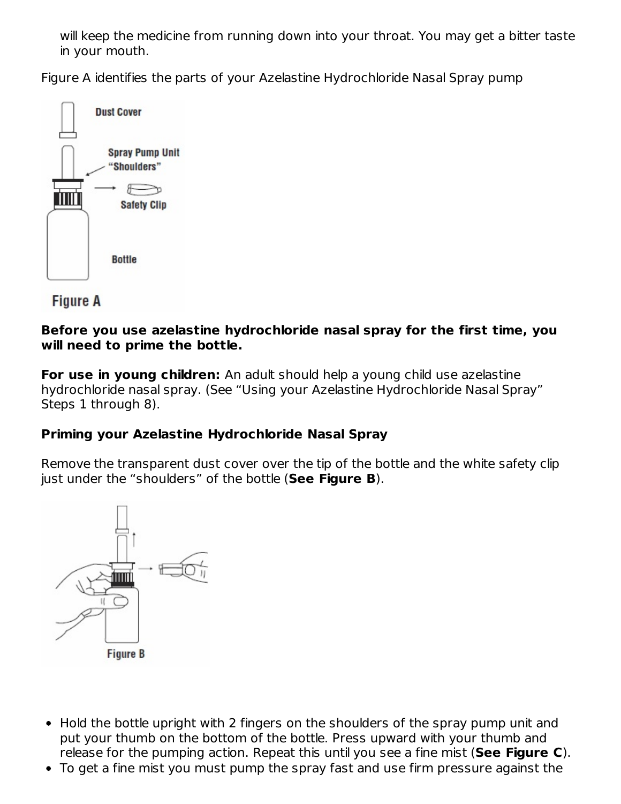will keep the medicine from running down into your throat. You may get a bitter taste in your mouth.

Figure A identifies the parts of your Azelastine Hydrochloride Nasal Spray pump



**Figure A** 

#### **Before you use azelastine hydrochloride nasal spray for the first time, you will need to prime the bottle.**

**For use in young children:** An adult should help a young child use azelastine hydrochloride nasal spray. (See "Using your Azelastine Hydrochloride Nasal Spray" Steps 1 through 8).

### **Priming your Azelastine Hydrochloride Nasal Spray**

Remove the transparent dust cover over the tip of the bottle and the white safety clip just under the "shoulders" of the bottle (**See Figure B**).



- Hold the bottle upright with 2 fingers on the shoulders of the spray pump unit and put your thumb on the bottom of the bottle. Press upward with your thumb and release for the pumping action. Repeat this until you see a fine mist (**See Figure C**).
- To get a fine mist you must pump the spray fast and use firm pressure against the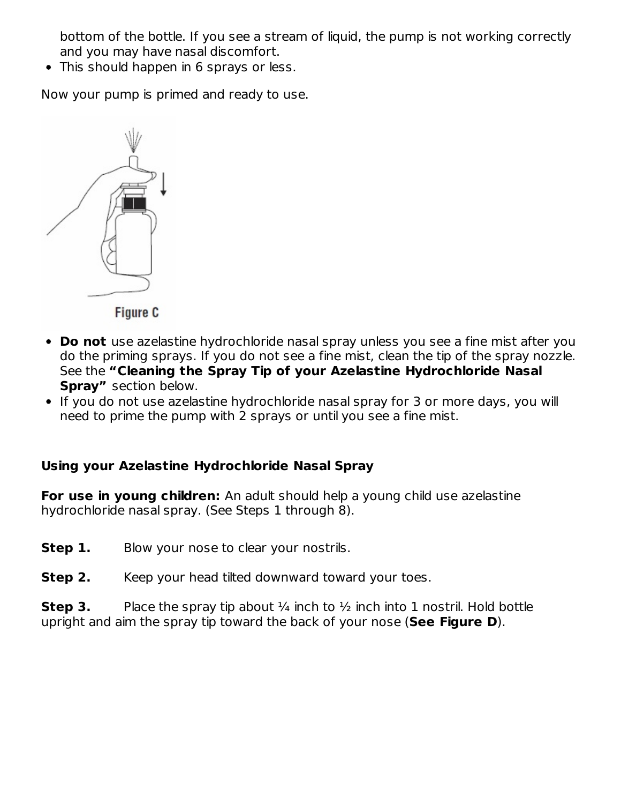bottom of the bottle. If you see a stream of liquid, the pump is not working correctly and you may have nasal discomfort.

• This should happen in 6 sprays or less.

Now your pump is primed and ready to use.



- **Do not** use azelastine hydrochloride nasal spray unless you see a fine mist after you do the priming sprays. If you do not see a fine mist, clean the tip of the spray nozzle. See the **"Cleaning the Spray Tip of your Azelastine Hydrochloride Nasal Spray"** section below.
	- If you do not use azelastine hydrochloride nasal spray for 3 or more days, you will need to prime the pump with 2 sprays or until you see a fine mist.

## **Using your Azelastine Hydrochloride Nasal Spray**

**For use in young children:** An adult should help a young child use azelastine hydrochloride nasal spray. (See Steps 1 through 8).

- **Step 1.** Blow your nose to clear your nostrils.
- **Step 2.** Keep your head tilted downward toward your toes.

**Step 3.** Place the spray tip about  $\frac{1}{4}$  inch to  $\frac{1}{2}$  inch into 1 nostril. Hold bottle upright and aim the spray tip toward the back of your nose (**See Figure D**).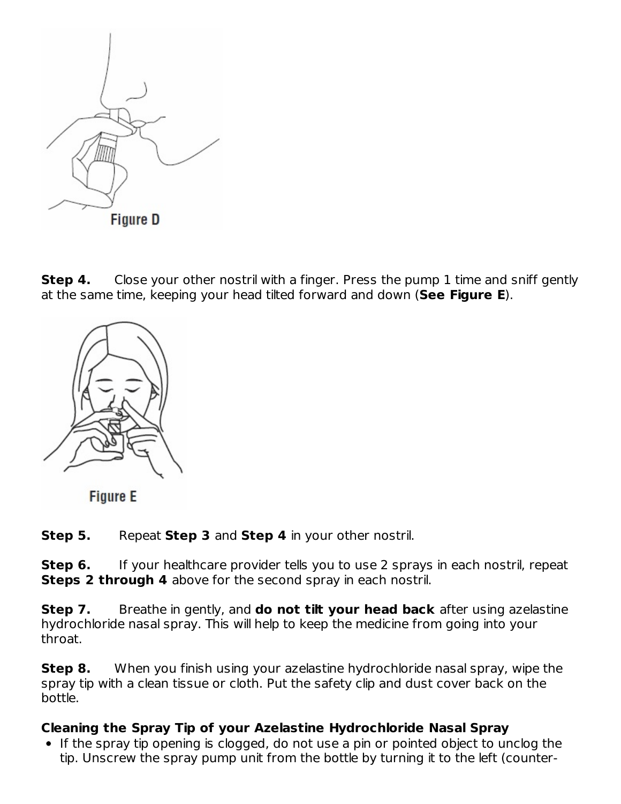

**Step 4.** Close your other nostril with a finger. Press the pump 1 time and sniff gently at the same time, keeping your head tilted forward and down (**See Figure E**).



**Figure E** 

**Step 5.** Repeat **Step 3** and **Step 4** in your other nostril.

**Step 6.** If your healthcare provider tells you to use 2 sprays in each nostril, repeat **Steps 2 through 4** above for the second spray in each nostril.

**Step 7.** Breathe in gently, and **do not tilt your head back** after using azelastine hydrochloride nasal spray. This will help to keep the medicine from going into your throat.

**Step 8.** When you finish using your azelastine hydrochloride nasal spray, wipe the spray tip with a clean tissue or cloth. Put the safety clip and dust cover back on the bottle.

## **Cleaning the Spray Tip of your Azelastine Hydrochloride Nasal Spray**

• If the spray tip opening is clogged, do not use a pin or pointed object to unclog the tip. Unscrew the spray pump unit from the bottle by turning it to the left (counter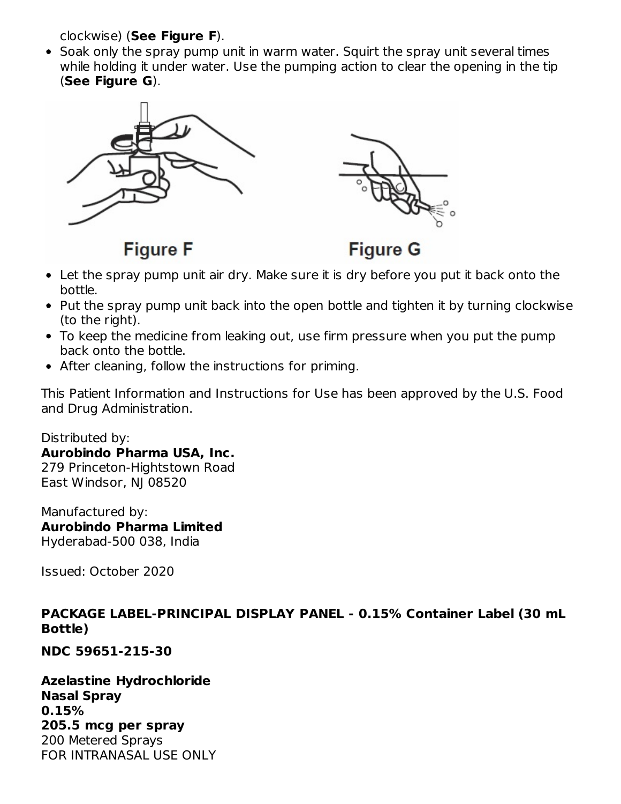clockwise) (**See Figure F**).

• Soak only the spray pump unit in warm water. Squirt the spray unit several times while holding it under water. Use the pumping action to clear the opening in the tip (**See Figure G**).



**Figure F** 

**Figure G** 

- Let the spray pump unit air dry. Make sure it is dry before you put it back onto the bottle.
- Put the spray pump unit back into the open bottle and tighten it by turning clockwise (to the right).
- To keep the medicine from leaking out, use firm pressure when you put the pump back onto the bottle.
- After cleaning, follow the instructions for priming.

This Patient Information and Instructions for Use has been approved by the U.S. Food and Drug Administration.

Distributed by: **Aurobindo Pharma USA, Inc.** 279 Princeton-Hightstown Road East Windsor, NJ 08520

Manufactured by: **Aurobindo Pharma Limited** Hyderabad-500 038, India

Issued: October 2020

### **PACKAGE LABEL-PRINCIPAL DISPLAY PANEL - 0.15% Container Label (30 mL Bottle)**

**NDC 59651-215-30**

**Azelastine Hydrochloride Nasal Spray 0.15% 205.5 mcg per spray** 200 Metered Sprays FOR INTRANASAL USE ONLY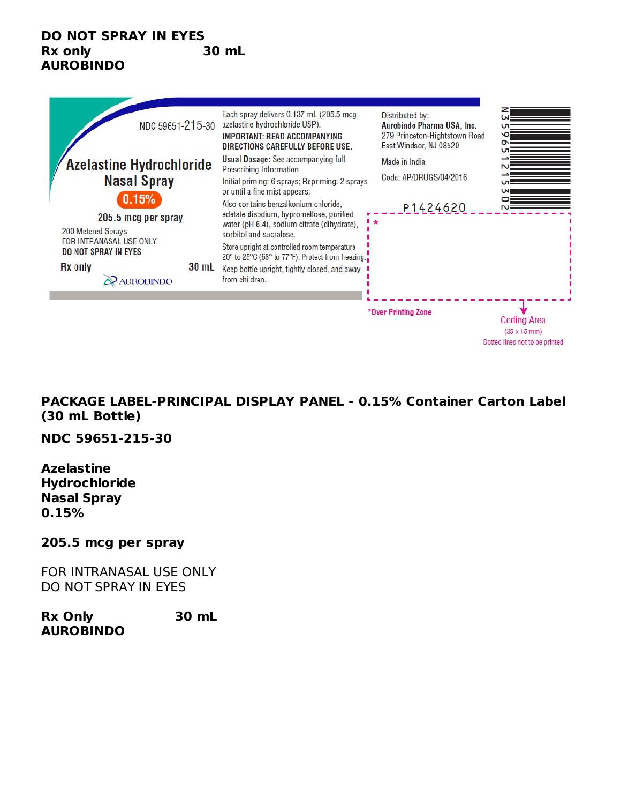#### **DO NOT SPRAY IN EYES Rx only 30 mL AUROBINDO**



**PACKAGE LABEL-PRINCIPAL DISPLAY PANEL - 0.15% Container Carton Label (30 mL Bottle)**

**NDC 59651-215-30**

**Azelastine Hydrochloride Nasal Spray 0.15%**

#### **205.5 mcg per spray**

FOR INTRANASAL USE ONLY DO NOT SPRAY IN EYES

**Rx Only 30 mL AUROBINDO**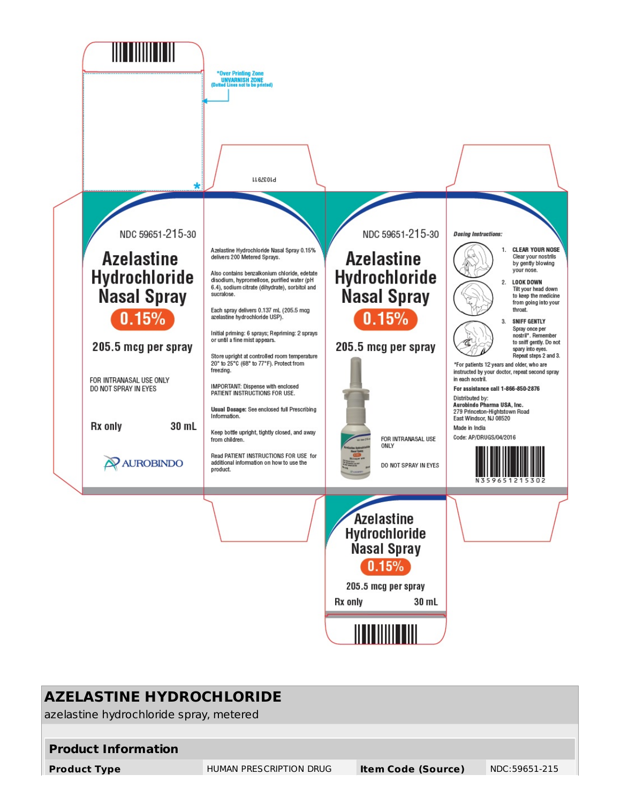

## **AZELASTINE HYDROCHLORIDE**

azelastine hydrochloride spray, metered

#### **Product Information**

**Product Type** HUMAN PRESCRIPTION DRUG **Item Code (Source)** NDC:59651-215